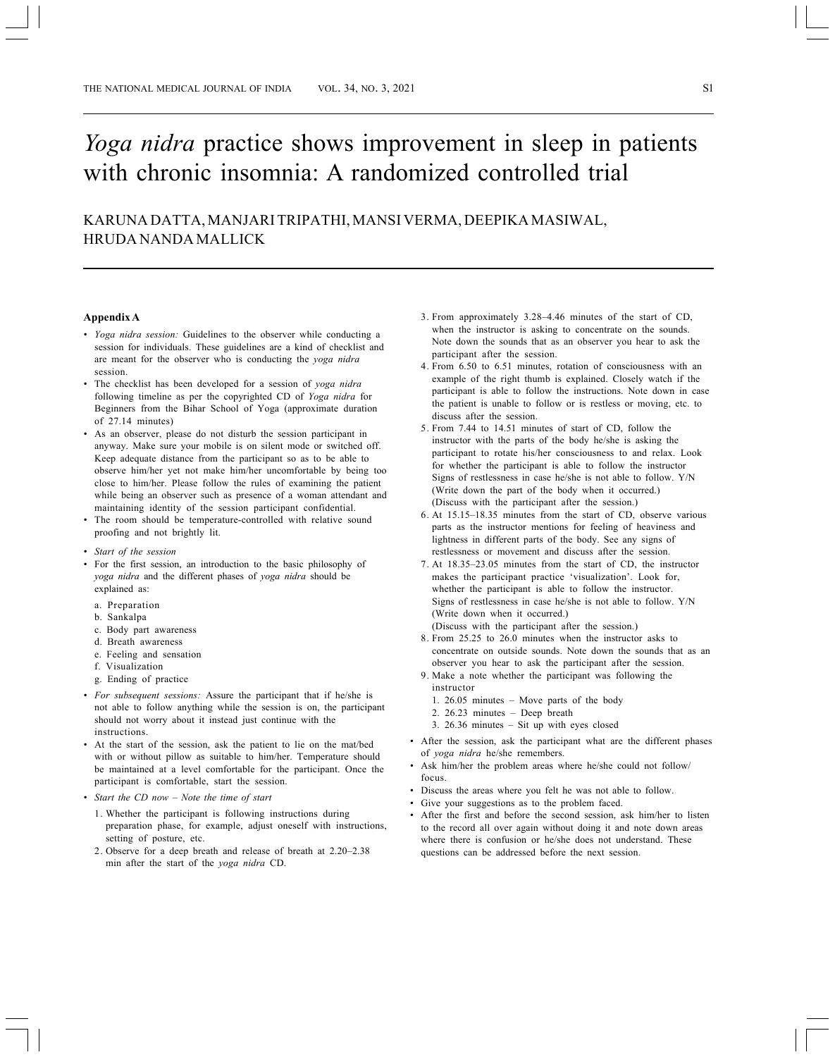## *Yoga nidra* practice shows improvement in sleep in patients with chronic insomnia: A randomized controlled trial

KARUNA DATTA, MANJARI TRIPATHI, MANSI VERMA, DEEPIKA MASIWAL, HRUDA NANDA MALLICK

## **Appendix A**

- *Yoga nidra session:* Guidelines to the observer while conducting a session for individuals. These guidelines are a kind of checklist and are meant for the observer who is conducting the *yoga nidra* session.
- *•* The checklist has been developed for a session of *yoga nidra* following timeline as per the copyrighted CD of *Yoga nidra* for Beginners from the Bihar School of Yoga (approximate duration of 27.14 minutes)
- As an observer, please do not disturb the session participant in anyway. Make sure your mobile is on silent mode or switched off. Keep adequate distance from the participant so as to be able to observe him/her yet not make him/her uncomfortable by being too close to him/her. Please follow the rules of examining the patient while being an observer such as presence of a woman attendant and maintaining identity of the session participant confidential.
- The room should be temperature-controlled with relative sound proofing and not brightly lit.
- *Start of the session*
- For the first session, an introduction to the basic philosophy of *yoga nidra* and the different phases of *yoga nidra* should be explained as:
- a. Preparation
- b. Sankalpa
- c. Body part awareness
- d. Breath awareness
- e. Feeling and sensation
- f. Visualization
- g. Ending of practice
- *For subsequent sessions:* Assure the participant that if he/she is not able to follow anything while the session is on, the participant should not worry about it instead just continue with the instructions.
- *•* At the start of the session, ask the patient to lie on the mat/bed with or without pillow as suitable to him/her. Temperature should be maintained at a level comfortable for the participant. Once the participant is comfortable, start the session.
- *Start the CD now Note the time of start*
	- 1. Whether the participant is following instructions during preparation phase, for example, adjust oneself with instructions, setting of posture, etc.
	- 2. Observe for a deep breath and release of breath at 2.20–2.38 min after the start of the *yoga nidra* CD.
- 3. From approximately 3.28–4.46 minutes of the start of CD, when the instructor is asking to concentrate on the sounds. Note down the sounds that as an observer you hear to ask the participant after the session.
- 4. From 6.50 to 6.51 minutes, rotation of consciousness with an example of the right thumb is explained. Closely watch if the participant is able to follow the instructions. Note down in case the patient is unable to follow or is restless or moving, etc. to discuss after the session.
- 5. From 7.44 to 14.51 minutes of start of CD, follow the instructor with the parts of the body he/she is asking the participant to rotate his/her consciousness to and relax. Look for whether the participant is able to follow the instructor Signs of restlessness in case he/she is not able to follow. Y/N (Write down the part of the body when it occurred.) (Discuss with the participant after the session.)
- 6. At 15.15–18.35 minutes from the start of CD, observe various parts as the instructor mentions for feeling of heaviness and lightness in different parts of the body. See any signs of restlessness or movement and discuss after the session.
- 7. At 18.35–23.05 minutes from the start of CD, the instructor makes the participant practice 'visualization'. Look for, whether the participant is able to follow the instructor. Signs of restlessness in case he/she is not able to follow. Y/N (Write down when it occurred.)
- (Discuss with the participant after the session.) 8. From 25.25 to 26.0 minutes when the instructor asks to
- concentrate on outside sounds. Note down the sounds that as an observer you hear to ask the participant after the session.
- 9. Make a note whether the participant was following the instructor
	- 1. 26.05 minutes Move parts of the body
	- 2. 26.23 minutes Deep breath
	- 3. 26.36 minutes Sit up with eyes closed
- *•* After the session, ask the participant what are the different phases of *yoga nidra* he/she remembers.
- *•* Ask him/her the problem areas where he/she could not follow/ focus.
- *•* Discuss the areas where you felt he was not able to follow.
- Give your suggestions as to the problem faced.
- *•* After the first and before the second session, ask him/her to listen to the record all over again without doing it and note down areas where there is confusion or he/she does not understand. These questions can be addressed before the next session.